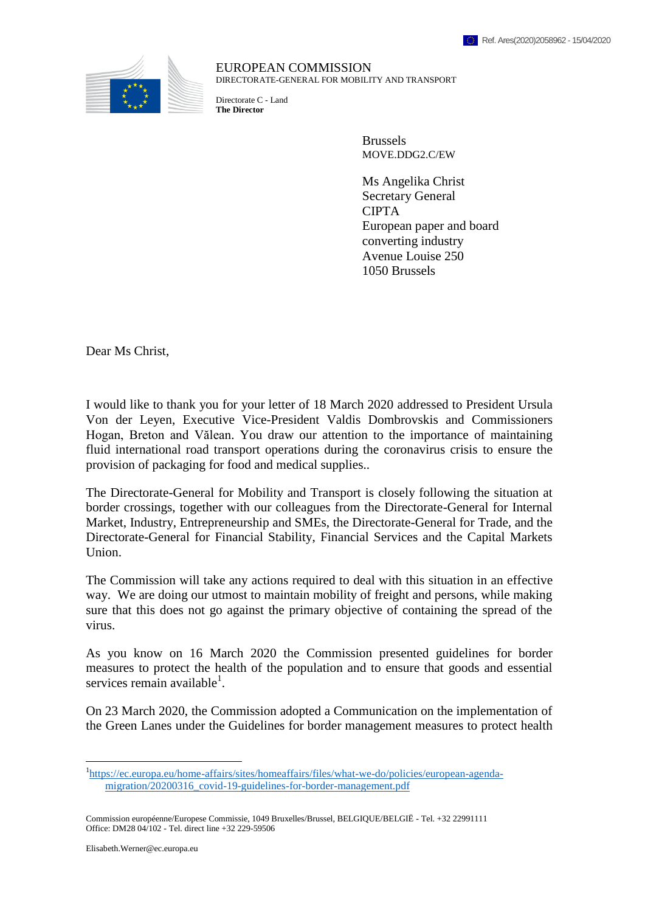

EUROPEAN COMMISSION DIRECTORATE-GENERAL FOR MOBILITY AND TRANSPORT

Directorate C - Land **The Director**

> Brussels MOVE.DDG2.C/EW

Ms Angelika Christ Secretary General CIPTA European paper and board converting industry Avenue Louise 250 1050 Brussels

Dear Ms Christ,

I would like to thank you for your letter of 18 March 2020 addressed to President Ursula Von der Leyen, Executive Vice-President Valdis Dombrovskis and Commissioners Hogan, Breton and Vălean. You draw our attention to the importance of maintaining fluid international road transport operations during the coronavirus crisis to ensure the provision of packaging for food and medical supplies..

The Directorate-General for Mobility and Transport is closely following the situation at border crossings, together with our colleagues from the Directorate-General for Internal Market, Industry, Entrepreneurship and SMEs, the Directorate-General for Trade, and the Directorate-General for Financial Stability, Financial Services and the Capital Markets Union.

The Commission will take any actions required to deal with this situation in an effective way. We are doing our utmost to maintain mobility of freight and persons, while making sure that this does not go against the primary objective of containing the spread of the virus.

As you know on 16 March 2020 the Commission presented guidelines for border measures to protect the health of the population and to ensure that goods and essential services remain available<sup>1</sup>.

On 23 March 2020, the Commission adopted a Communication on the implementation of the Green Lanes under the Guidelines for border management measures to protect health

 $\overline{a}$ 

<sup>&</sup>lt;sup>1</sup>[https://ec.europa.eu/home-affairs/sites/homeaffairs/files/what-we-do/policies/european-agenda](https://ec.europa.eu/home-affairs/sites/homeaffairs/files/what-we-do/policies/european-agenda-migration/20200316_covid-19-guidelines-for-border-management.pdf)[migration/20200316\\_covid-19-guidelines-for-border-management.pdf](https://ec.europa.eu/home-affairs/sites/homeaffairs/files/what-we-do/policies/european-agenda-migration/20200316_covid-19-guidelines-for-border-management.pdf)

Commission européenne/Europese Commissie, 1049 Bruxelles/Brussel, BELGIQUE/BELGIË - Tel. +32 22991111 Office: DM28 04/102 - Tel. direct line +32 229-59506